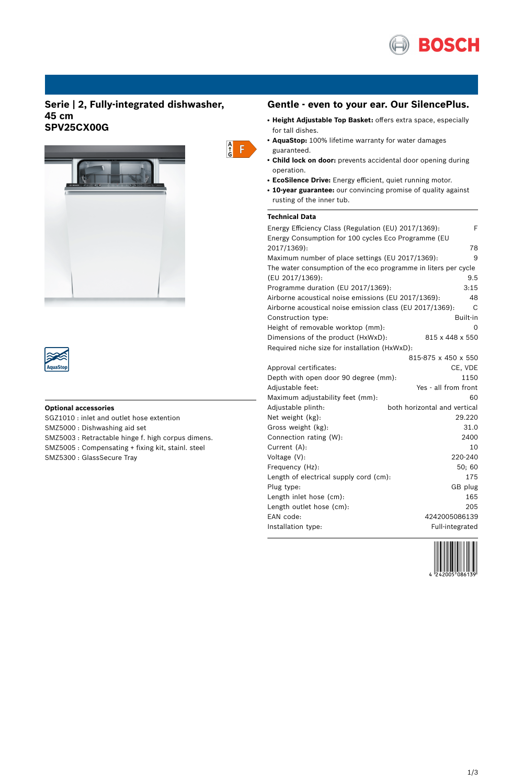

# **Serie | 2, Fully-integrated dishwasher, 45 cm SPV25CX00G**





## **Optional accessories**

SGZ1010 : inlet and outlet hose extention SMZ5000 : Dishwashing aid set SMZ5003 : Retractable hinge f. high corpus dimens. SMZ5005 : Compensating + fixing kit, stainl. steel SMZ5300 : GlassSecure Tray

## **Gentle - even to your ear. Our SilencePlus.**

- **Height Adjustable Top Basket:** offers extra space, especially for tall dishes.
- AquaStop: 100% lifetime warranty for water damages guaranteed.
- **Child lock on door:** prevents accidental door opening during operation.
- **EcoSilence Drive:** Energy efficient, quiet running motor.
- **10-year guarantee:** our convincing promise of quality against rusting of the inner tub.

### **Technical Data**

 $\begin{array}{c} A \\ \uparrow \\ G \end{array}$ 

| Energy Efficiency Class (Regulation (EU) 2017/1369):           | F                            |
|----------------------------------------------------------------|------------------------------|
| Energy Consumption for 100 cycles Eco Programme (EU            |                              |
| 2017/1369):                                                    | 78                           |
| Maximum number of place settings (EU 2017/1369):               | 9                            |
| The water consumption of the eco programme in liters per cycle |                              |
| (EU 2017/1369):                                                | 9.5                          |
| Programme duration (EU 2017/1369):                             | 3:15                         |
| Airborne acoustical noise emissions (EU 2017/1369):            | 48                           |
| Airborne acoustical noise emission class (EU 2017/1369):       | C                            |
| Construction type:                                             | Built-in                     |
| Height of removable worktop (mm):                              | O                            |
| Dimensions of the product (HxWxD):                             | 815 x 448 x 550              |
| Required niche size for installation (HxWxD):                  |                              |
|                                                                | 815-875 x 450 x 550          |
| Approval certificates:                                         | CE, VDE                      |
| Depth with open door 90 degree (mm):                           | 1150                         |
| Adjustable feet:                                               | Yes - all from front         |
| Maximum adjustability feet (mm):                               | 60                           |
| Adjustable plinth:                                             | both horizontal and vertical |
| Net weight (kg):                                               | 29.220                       |
| Gross weight (kg):                                             | 31.0                         |
| Connection rating (W):                                         | 2400                         |
| Current (A):                                                   | 10                           |
| Voltage (V):                                                   | 220-240                      |
| Frequency (Hz):                                                | 50; 60                       |
| Length of electrical supply cord (cm):                         | 175                          |
| Plug type:                                                     | GB plug                      |
| Length inlet hose (cm):                                        | 165                          |
| Length outlet hose (cm):                                       | 205                          |
| EAN code:                                                      | 4242005086139                |
| Installation type:                                             | Full-integrated              |

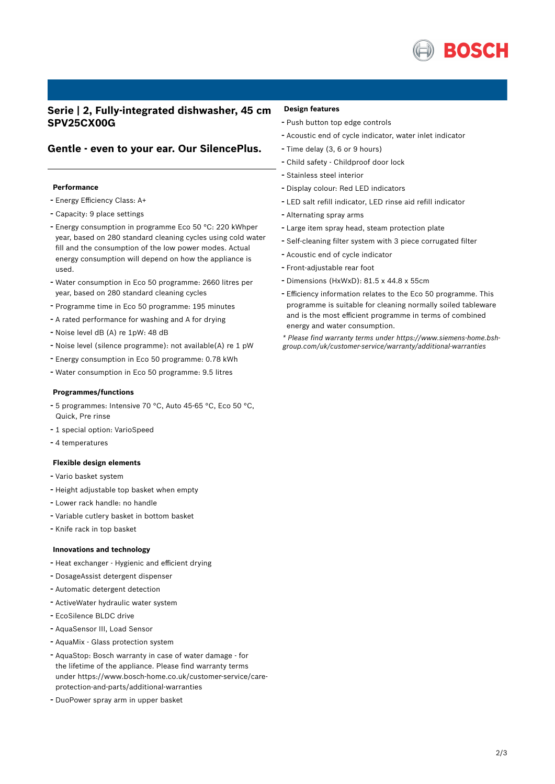

# **Serie | 2, Fully-integrated dishwasher, 45 cm SPV25CX00G**

## **Gentle - even to your ear. Our SilencePlus.**

#### **Performance**

- Energy Efficiency Class: A+
- Capacity: <sup>9</sup> place settings
- Energy consumption in programme Eco <sup>50</sup> °C: <sup>220</sup> kWhper year, based on 280 standard cleaning cycles using cold water fill and the consumption of the low power modes. Actual energy consumption will depend on how the appliance is used.
- Water consumption in Eco <sup>50</sup> programme: <sup>2660</sup> litres per year, based on 280 standard cleaning cycles
- Programme time in Eco <sup>50</sup> programme: <sup>195</sup> minutes
- <sup>A</sup> rated performance for washing and <sup>A</sup> for drying
- Noise level dB (A) re 1pW: <sup>48</sup> dB
- Noise level (silence programme): not available(A) re <sup>1</sup> pW
- Energy consumption in Eco <sup>50</sup> programme: 0.78 kWh
- Water consumption in Eco <sup>50</sup> programme: 9.5 litres

## **Programmes/functions**

- <sup>5</sup> programmes: Intensive <sup>70</sup> °C, Auto 45-65 °C, Eco <sup>50</sup> °C, Quick, Pre rinse
- <sup>1</sup> special option: VarioSpeed
- <sup>4</sup> temperatures

### **Flexible design elements**

- Vario basket system
- Height adjustable top basket when empty
- Lower rack handle: no handle
- Variable cutlery basket in bottom basket
- Knife rack in top basket

#### **Innovations and technology**

- Heat exchanger Hygienic and efficient drying
- DosageAssist detergent dispenser
- Automatic detergent detection
- ActiveWater hydraulic water system
- EcoSilence BLDC drive
- AquaSensor III, Load Sensor
- AquaMix Glass protection system
- AquaStop: Bosch warranty in case of water damage for the lifetime of the appliance. Please find warranty terms under https://www.bosch-home.co.uk/customer-service/careprotection-and-parts/additional-warranties
- DuoPower spray arm in upper basket

### **Design features**

- Push button top edge controls
- Acoustic end of cycle indicator, water inlet indicator
- Time delay (3, <sup>6</sup> or <sup>9</sup> hours)
- Child safety Childproof door lock
- Stainless steel interior
- Display colour: Red LED indicators
- LED salt refill indicator, LED rinse aid refill indicator
- Alternating spray arms
- Large item spray head, steam protection plate
- Self-cleaning filter system with <sup>3</sup> piece corrugated filter
- Acoustic end of cycle indicator
- Front-adjustable rear foot
- Dimensions (HxWxD): 81.5 x 44.8 x 55cm
- Efficiency information relates to the Eco <sup>50</sup> programme. This programme is suitable for cleaning normally soiled tableware and is the most efficient programme in terms of combined energy and water consumption.

*\* Please find warranty terms under https://www.siemens-home.bshgroup.com/uk/customer-service/warranty/additional-warranties*